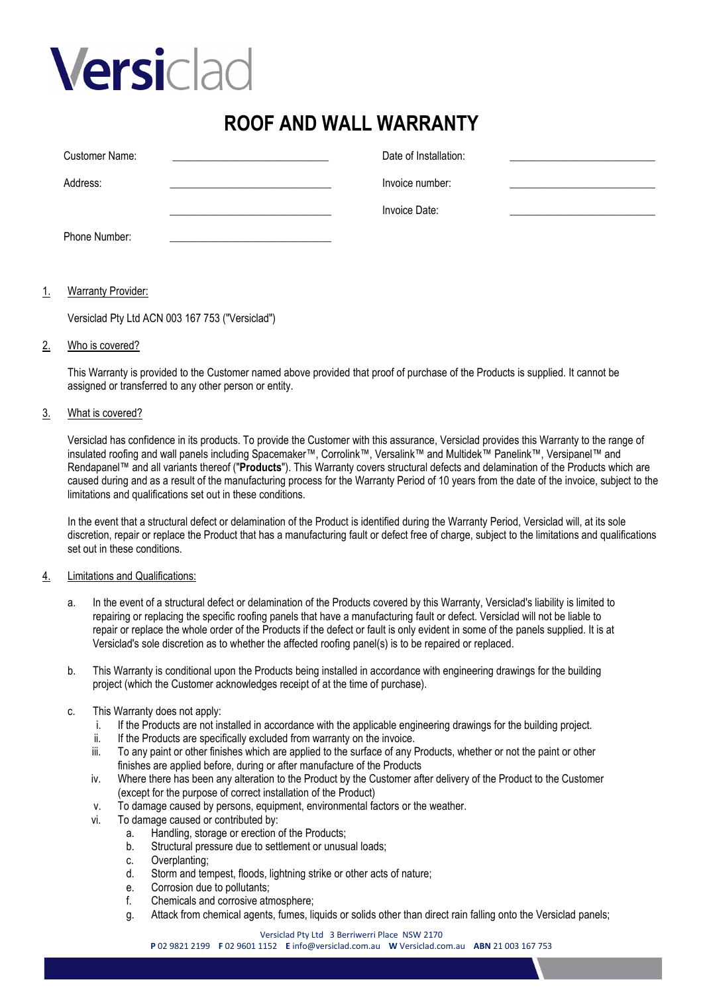# Versiclad

### **ROOF AND WALL WARRANTY**

| Customer Name: | Date of Installation: |  |
|----------------|-----------------------|--|
| Address:       | Invoice number:       |  |
|                | Invoice Date:         |  |
| Phone Number:  |                       |  |

#### 1. Warranty Provider:

Versiclad Pty Ltd ACN 003 167 753 ("Versiclad")

#### 2. Who is covered?

This Warranty is provided to the Customer named above provided that proof of purchase of the Products is supplied. It cannot be assigned or transferred to any other person or entity.

#### 3. What is covered?

Versiclad has confidence in its products. To provide the Customer with this assurance, Versiclad provides this Warranty to the range of insulated roofing and wall panels including Spacemaker™, Corrolink™, Versalink™ and Multidek™ Panelink™, Versipanel™ and Rendapanel™ and all variants thereof ("**Products**"). This Warranty covers structural defects and delamination of the Products which are caused during and as a result of the manufacturing process for the Warranty Period of 10 years from the date of the invoice, subject to the limitations and qualifications set out in these conditions.

In the event that a structural defect or delamination of the Product is identified during the Warranty Period, Versiclad will, at its sole discretion, repair or replace the Product that has a manufacturing fault or defect free of charge, subject to the limitations and qualifications set out in these conditions.

#### 4. Limitations and Qualifications:

- a. In the event of a structural defect or delamination of the Products covered by this Warranty, Versiclad's liability is limited to repairing or replacing the specific roofing panels that have a manufacturing fault or defect. Versiclad will not be liable to repair or replace the whole order of the Products if the defect or fault is only evident in some of the panels supplied. It is at Versiclad's sole discretion as to whether the affected roofing panel(s) is to be repaired or replaced.
- b. This Warranty is conditional upon the Products being installed in accordance with engineering drawings for the building project (which the Customer acknowledges receipt of at the time of purchase).
- c. This Warranty does not apply:
	- i. If the Products are not installed in accordance with the applicable engineering drawings for the building project.
	- ii. If the Products are specifically excluded from warranty on the invoice.
	- iii. To any paint or other finishes which are applied to the surface of any Products, whether or not the paint or other finishes are applied before, during or after manufacture of the Products
	- iv. Where there has been any alteration to the Product by the Customer after delivery of the Product to the Customer (except for the purpose of correct installation of the Product)
	- v. To damage caused by persons, equipment, environmental factors or the weather.
	- vi. To damage caused or contributed by:
		- a. Handling, storage or erection of the Products;<br>b. Structural pressure due to settlement or unusi
		- b. Structural pressure due to settlement or unusual loads;<br>c. Overplanting;
		- c. Overplanting;<br>d. Storm and ter
		- d. Storm and tempest, floods, lightning strike or other acts of nature;<br>e. Corrosion due to pollutants:
		- Corrosion due to pollutants;
		- f. Chemicals and corrosive atmosphere;
		- g. Attack from chemical agents, fumes, liquids or solids other than direct rain falling onto the Versiclad panels;

#### Versiclad Pty Ltd 3 Berriwerri Place NSW 2170

**P** 02 9821 2199 **F** 02 9601 1152 **E** info@versiclad.com.au **W** Versiclad.com.au **ABN** 21 003 167 753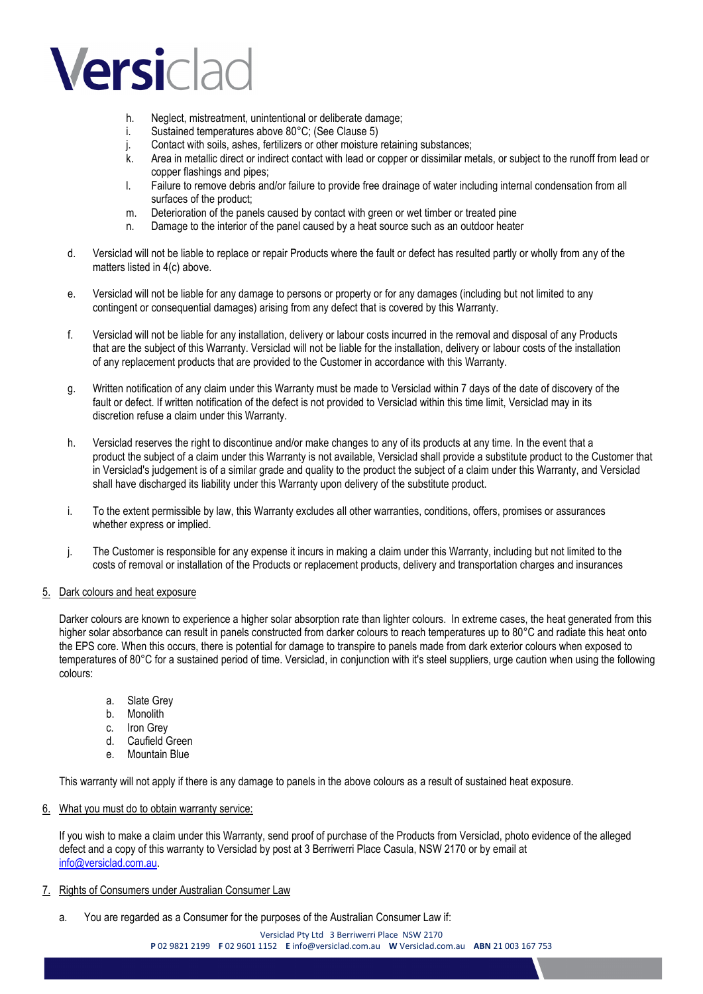### Versiclad

- h. Neglect, mistreatment, unintentional or deliberate damage;
- i. Sustained temperatures above 80°C; (See Clause 5)
- j. Contact with soils, ashes, fertilizers or other moisture retaining substances;
- k. Area in metallic direct or indirect contact with lead or copper or dissimilar metals, or subject to the runoff from lead or copper flashings and pipes;
- l. Failure to remove debris and/or failure to provide free drainage of water including internal condensation from all surfaces of the product;
- m. Deterioration of the panels caused by contact with green or wet timber or treated pine
- n. Damage to the interior of the panel caused by a heat source such as an outdoor heater
- d. Versiclad will not be liable to replace or repair Products where the fault or defect has resulted partly or wholly from any of the matters listed in 4(c) above.
- e. Versiclad will not be liable for any damage to persons or property or for any damages (including but not limited to any contingent or consequential damages) arising from any defect that is covered by this Warranty.
- f. Versiclad will not be liable for any installation, delivery or labour costs incurred in the removal and disposal of any Products that are the subject of this Warranty. Versiclad will not be liable for the installation, delivery or labour costs of the installation of any replacement products that are provided to the Customer in accordance with this Warranty.
- g. Written notification of any claim under this Warranty must be made to Versiclad within 7 days of the date of discovery of the fault or defect. If written notification of the defect is not provided to Versiclad within this time limit, Versiclad may in its discretion refuse a claim under this Warranty.
- h. Versiclad reserves the right to discontinue and/or make changes to any of its products at any time. In the event that a product the subject of a claim under this Warranty is not available, Versiclad shall provide a substitute product to the Customer that in Versiclad's judgement is of a similar grade and quality to the product the subject of a claim under this Warranty, and Versiclad shall have discharged its liability under this Warranty upon delivery of the substitute product.
- i. To the extent permissible by law, this Warranty excludes all other warranties, conditions, offers, promises or assurances whether express or implied.
- j. The Customer is responsible for any expense it incurs in making a claim under this Warranty, including but not limited to the costs of removal or installation of the Products or replacement products, delivery and transportation charges and insurances

#### 5. Dark colours and heat exposure

Darker colours are known to experience a higher solar absorption rate than lighter colours. In extreme cases, the heat generated from this higher solar absorbance can result in panels constructed from darker colours to reach temperatures up to 80°C and radiate this heat onto the EPS core. When this occurs, there is potential for damage to transpire to panels made from dark exterior colours when exposed to temperatures of 80°C for a sustained period of time. Versiclad, in conjunction with it's steel suppliers, urge caution when using the following colours:

- a. Slate Grey
- b. Monolith
- c. Iron Grey
- d. Caufield Green
- e. Mountain Blue

This warranty will not apply if there is any damage to panels in the above colours as a result of sustained heat exposure.

#### 6. What you must do to obtain warranty service:

If you wish to make a claim under this Warranty, send proof of purchase of the Products from Versiclad, photo evidence of the alleged defect and a copy of this warranty to Versiclad by post at 3 Berriwerri Place Casula, NSW 2170 or by email at [info@versiclad.com.au.](mailto:info@versiclad.com.au) 

#### 7. Rights of Consumers under Australian Consumer Law

a. You are regarded as a Consumer for the purposes of the Australian Consumer Law if: